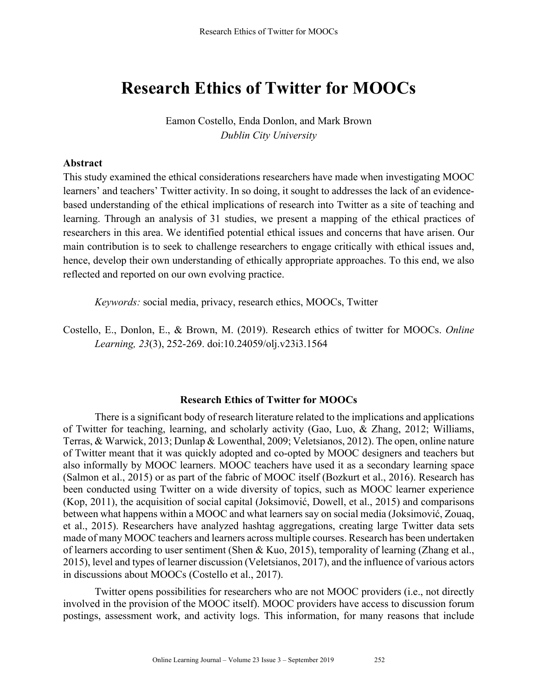# **Research Ethics of Twitter for MOOCs**

Eamon Costello, Enda Donlon, and Mark Brown *Dublin City University*

## **Abstract**

This study examined the ethical considerations researchers have made when investigating MOOC learners' and teachers' Twitter activity. In so doing, it sought to addresses the lack of an evidencebased understanding of the ethical implications of research into Twitter as a site of teaching and learning. Through an analysis of 31 studies, we present a mapping of the ethical practices of researchers in this area. We identified potential ethical issues and concerns that have arisen. Our main contribution is to seek to challenge researchers to engage critically with ethical issues and, hence, develop their own understanding of ethically appropriate approaches. To this end, we also reflected and reported on our own evolving practice.

*Keywords:* social media, privacy, research ethics, MOOCs, Twitter

Costello, E., Donlon, E., & Brown, M. (2019). Research ethics of twitter for MOOCs. *Online Learning, 23*(3), 252-269. doi:10.24059/olj.v23i3.1564

## **Research Ethics of Twitter for MOOCs**

There is a significant body of research literature related to the implications and applications of Twitter for teaching, learning, and scholarly activity (Gao, Luo, & Zhang, 2012; Williams, Terras, & Warwick, 2013; Dunlap & Lowenthal, 2009; Veletsianos, 2012). The open, online nature of Twitter meant that it was quickly adopted and co-opted by MOOC designers and teachers but also informally by MOOC learners. MOOC teachers have used it as a secondary learning space (Salmon et al., 2015) or as part of the fabric of MOOC itself (Bozkurt et al., 2016). Research has been conducted using Twitter on a wide diversity of topics, such as MOOC learner experience (Kop, 2011), the acquisition of social capital (Joksimović, Dowell, et al., 2015) and comparisons between what happens within a MOOC and what learners say on social media (Joksimović, Zouaq, et al., 2015). Researchers have analyzed hashtag aggregations, creating large Twitter data sets made of many MOOC teachers and learners across multiple courses. Research has been undertaken of learners according to user sentiment (Shen & Kuo, 2015), temporality of learning (Zhang et al., 2015), level and types of learner discussion (Veletsianos, 2017), and the influence of various actors in discussions about MOOCs (Costello et al., 2017).

Twitter opens possibilities for researchers who are not MOOC providers (i.e., not directly involved in the provision of the MOOC itself). MOOC providers have access to discussion forum postings, assessment work, and activity logs. This information, for many reasons that include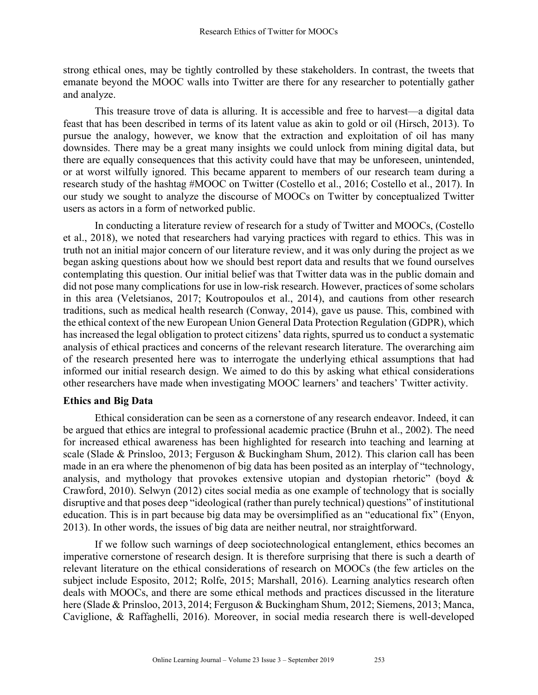strong ethical ones, may be tightly controlled by these stakeholders. In contrast, the tweets that emanate beyond the MOOC walls into Twitter are there for any researcher to potentially gather and analyze.

This treasure trove of data is alluring. It is accessible and free to harvest—a digital data feast that has been described in terms of its latent value as akin to gold or oil (Hirsch, 2013). To pursue the analogy, however, we know that the extraction and exploitation of oil has many downsides. There may be a great many insights we could unlock from mining digital data, but there are equally consequences that this activity could have that may be unforeseen, unintended, or at worst wilfully ignored. This became apparent to members of our research team during a research study of the hashtag #MOOC on Twitter (Costello et al., 2016; Costello et al., 2017). In our study we sought to analyze the discourse of MOOCs on Twitter by conceptualized Twitter users as actors in a form of networked public.

In conducting a literature review of research for a study of Twitter and MOOCs, (Costello et al., 2018), we noted that researchers had varying practices with regard to ethics. This was in truth not an initial major concern of our literature review, and it was only during the project as we began asking questions about how we should best report data and results that we found ourselves contemplating this question. Our initial belief was that Twitter data was in the public domain and did not pose many complications for use in low-risk research. However, practices of some scholars in this area (Veletsianos, 2017; Koutropoulos et al., 2014), and cautions from other research traditions, such as medical health research (Conway, 2014), gave us pause. This, combined with the ethical context of the new European Union General Data Protection Regulation (GDPR), which has increased the legal obligation to protect citizens' data rights, spurred us to conduct a systematic analysis of ethical practices and concerns of the relevant research literature. The overarching aim of the research presented here was to interrogate the underlying ethical assumptions that had informed our initial research design. We aimed to do this by asking what ethical considerations other researchers have made when investigating MOOC learners' and teachers' Twitter activity.

## **Ethics and Big Data**

Ethical consideration can be seen as a cornerstone of any research endeavor. Indeed, it can be argued that ethics are integral to professional academic practice (Bruhn et al., 2002). The need for increased ethical awareness has been highlighted for research into teaching and learning at scale (Slade & Prinsloo, 2013; Ferguson & Buckingham Shum, 2012). This clarion call has been made in an era where the phenomenon of big data has been posited as an interplay of "technology, analysis, and mythology that provokes extensive utopian and dystopian rhetoric" (boyd & Crawford, 2010). Selwyn (2012) cites social media as one example of technology that is socially disruptive and that poses deep "ideological (rather than purely technical) questions" of institutional education. This is in part because big data may be oversimplified as an "educational fix" (Enyon, 2013). In other words, the issues of big data are neither neutral, nor straightforward.

If we follow such warnings of deep sociotechnological entanglement, ethics becomes an imperative cornerstone of research design. It is therefore surprising that there is such a dearth of relevant literature on the ethical considerations of research on MOOCs (the few articles on the subject include Esposito, 2012; Rolfe, 2015; Marshall, 2016). Learning analytics research often deals with MOOCs, and there are some ethical methods and practices discussed in the literature here (Slade & Prinsloo, 2013, 2014; Ferguson & Buckingham Shum, 2012; Siemens, 2013; Manca, Caviglione, & Raffaghelli, 2016). Moreover, in social media research there is well-developed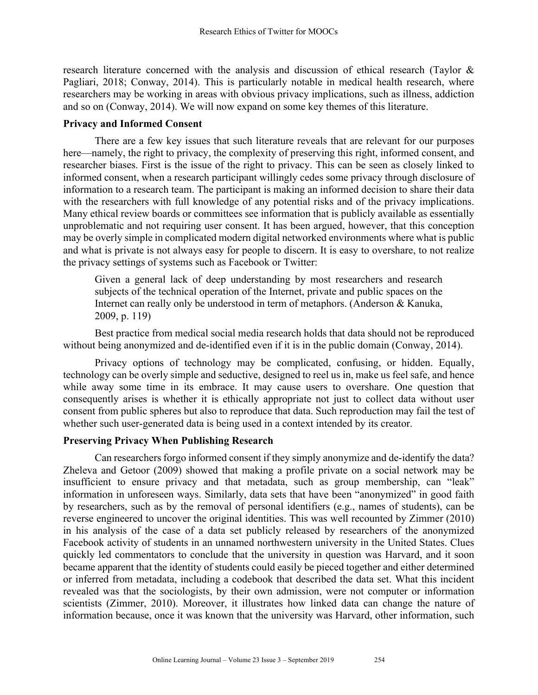research literature concerned with the analysis and discussion of ethical research (Taylor & Pagliari, 2018; Conway, 2014). This is particularly notable in medical health research, where researchers may be working in areas with obvious privacy implications, such as illness, addiction and so on (Conway, 2014). We will now expand on some key themes of this literature.

## **Privacy and Informed Consent**

There are a few key issues that such literature reveals that are relevant for our purposes here—namely, the right to privacy, the complexity of preserving this right, informed consent, and researcher biases. First is the issue of the right to privacy. This can be seen as closely linked to informed consent, when a research participant willingly cedes some privacy through disclosure of information to a research team. The participant is making an informed decision to share their data with the researchers with full knowledge of any potential risks and of the privacy implications. Many ethical review boards or committees see information that is publicly available as essentially unproblematic and not requiring user consent. It has been argued, however, that this conception may be overly simple in complicated modern digital networked environments where what is public and what is private is not always easy for people to discern. It is easy to overshare, to not realize the privacy settings of systems such as Facebook or Twitter:

Given a general lack of deep understanding by most researchers and research subjects of the technical operation of the Internet, private and public spaces on the Internet can really only be understood in term of metaphors. (Anderson & Kanuka, 2009, p. 119)

Best practice from medical social media research holds that data should not be reproduced without being anonymized and de-identified even if it is in the public domain (Conway, 2014).

Privacy options of technology may be complicated, confusing, or hidden. Equally, technology can be overly simple and seductive, designed to reel us in, make us feel safe, and hence while away some time in its embrace. It may cause users to overshare. One question that consequently arises is whether it is ethically appropriate not just to collect data without user consent from public spheres but also to reproduce that data. Such reproduction may fail the test of whether such user-generated data is being used in a context intended by its creator.

## **Preserving Privacy When Publishing Research**

Can researchers forgo informed consent if they simply anonymize and de-identify the data? Zheleva and Getoor (2009) showed that making a profile private on a social network may be insufficient to ensure privacy and that metadata, such as group membership, can "leak" information in unforeseen ways. Similarly, data sets that have been "anonymized" in good faith by researchers, such as by the removal of personal identifiers (e.g., names of students), can be reverse engineered to uncover the original identities. This was well recounted by Zimmer (2010) in his analysis of the case of a data set publicly released by researchers of the anonymized Facebook activity of students in an unnamed northwestern university in the United States. Clues quickly led commentators to conclude that the university in question was Harvard, and it soon became apparent that the identity of students could easily be pieced together and either determined or inferred from metadata, including a codebook that described the data set. What this incident revealed was that the sociologists, by their own admission, were not computer or information scientists (Zimmer, 2010). Moreover, it illustrates how linked data can change the nature of information because, once it was known that the university was Harvard, other information, such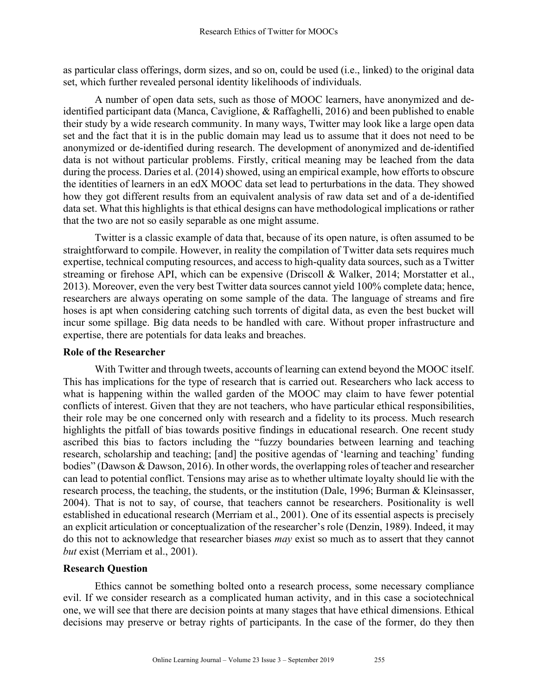as particular class offerings, dorm sizes, and so on, could be used (i.e., linked) to the original data set, which further revealed personal identity likelihoods of individuals.

A number of open data sets, such as those of MOOC learners, have anonymized and deidentified participant data (Manca, Caviglione, & Raffaghelli, 2016) and been published to enable their study by a wide research community. In many ways, Twitter may look like a large open data set and the fact that it is in the public domain may lead us to assume that it does not need to be anonymized or de-identified during research. The development of anonymized and de-identified data is not without particular problems. Firstly, critical meaning may be leached from the data during the process. Daries et al. (2014) showed, using an empirical example, how efforts to obscure the identities of learners in an edX MOOC data set lead to perturbations in the data. They showed how they got different results from an equivalent analysis of raw data set and of a de-identified data set. What this highlights is that ethical designs can have methodological implications or rather that the two are not so easily separable as one might assume.

Twitter is a classic example of data that, because of its open nature, is often assumed to be straightforward to compile. However, in reality the compilation of Twitter data sets requires much expertise, technical computing resources, and access to high-quality data sources, such as a Twitter streaming or firehose API, which can be expensive (Driscoll & Walker, 2014; Morstatter et al., 2013). Moreover, even the very best Twitter data sources cannot yield 100% complete data; hence, researchers are always operating on some sample of the data. The language of streams and fire hoses is apt when considering catching such torrents of digital data, as even the best bucket will incur some spillage. Big data needs to be handled with care. Without proper infrastructure and expertise, there are potentials for data leaks and breaches.

## **Role of the Researcher**

With Twitter and through tweets, accounts of learning can extend beyond the MOOC itself. This has implications for the type of research that is carried out. Researchers who lack access to what is happening within the walled garden of the MOOC may claim to have fewer potential conflicts of interest. Given that they are not teachers, who have particular ethical responsibilities, their role may be one concerned only with research and a fidelity to its process. Much research highlights the pitfall of bias towards positive findings in educational research. One recent study ascribed this bias to factors including the "fuzzy boundaries between learning and teaching research, scholarship and teaching; [and] the positive agendas of 'learning and teaching' funding bodies" (Dawson & Dawson, 2016). In other words, the overlapping roles of teacher and researcher can lead to potential conflict. Tensions may arise as to whether ultimate loyalty should lie with the research process, the teaching, the students, or the institution (Dale, 1996; Burman & Kleinsasser, 2004). That is not to say, of course, that teachers cannot be researchers. Positionality is well established in educational research (Merriam et al., 2001). One of its essential aspects is precisely an explicit articulation or conceptualization of the researcher's role (Denzin, 1989). Indeed, it may do this not to acknowledge that researcher biases *may* exist so much as to assert that they cannot *but* exist (Merriam et al., 2001).

## **Research Question**

Ethics cannot be something bolted onto a research process, some necessary compliance evil. If we consider research as a complicated human activity, and in this case a sociotechnical one, we will see that there are decision points at many stages that have ethical dimensions. Ethical decisions may preserve or betray rights of participants. In the case of the former, do they then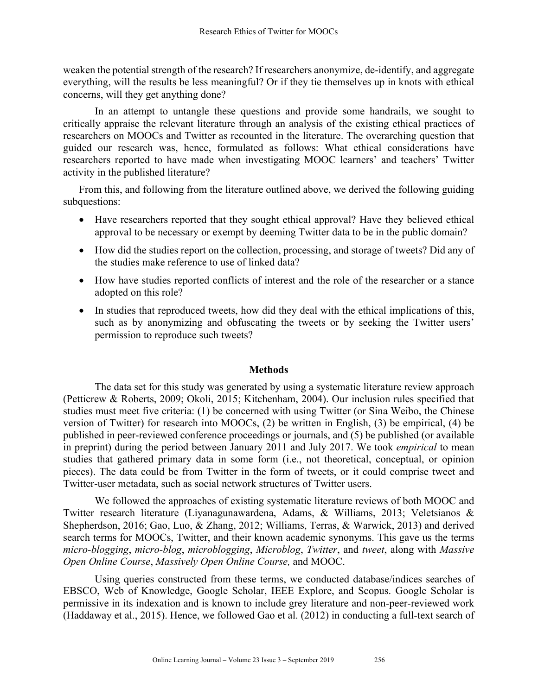weaken the potential strength of the research? If researchers anonymize, de-identify, and aggregate everything, will the results be less meaningful? Or if they tie themselves up in knots with ethical concerns, will they get anything done?

In an attempt to untangle these questions and provide some handrails, we sought to critically appraise the relevant literature through an analysis of the existing ethical practices of researchers on MOOCs and Twitter as recounted in the literature. The overarching question that guided our research was, hence, formulated as follows: What ethical considerations have researchers reported to have made when investigating MOOC learners' and teachers' Twitter activity in the published literature?

From this, and following from the literature outlined above, we derived the following guiding subquestions:

- Have researchers reported that they sought ethical approval? Have they believed ethical approval to be necessary or exempt by deeming Twitter data to be in the public domain?
- How did the studies report on the collection, processing, and storage of tweets? Did any of the studies make reference to use of linked data?
- How have studies reported conflicts of interest and the role of the researcher or a stance adopted on this role?
- In studies that reproduced tweets, how did they deal with the ethical implications of this, such as by anonymizing and obfuscating the tweets or by seeking the Twitter users' permission to reproduce such tweets?

## **Methods**

The data set for this study was generated by using a systematic literature review approach (Petticrew & Roberts, 2009; Okoli, 2015; Kitchenham, 2004). Our inclusion rules specified that studies must meet five criteria: (1) be concerned with using Twitter (or Sina Weibo, the Chinese version of Twitter) for research into MOOCs, (2) be written in English, (3) be empirical, (4) be published in peer-reviewed conference proceedings or journals, and (5) be published (or available in preprint) during the period between January 2011 and July 2017. We took *empirical* to mean studies that gathered primary data in some form (i.e., not theoretical, conceptual, or opinion pieces). The data could be from Twitter in the form of tweets, or it could comprise tweet and Twitter-user metadata, such as social network structures of Twitter users.

We followed the approaches of existing systematic literature reviews of both MOOC and Twitter research literature (Liyanagunawardena, Adams, & Williams, 2013; Veletsianos & Shepherdson, 2016; Gao, Luo, & Zhang, 2012; Williams, Terras, & Warwick, 2013) and derived search terms for MOOCs, Twitter, and their known academic synonyms. This gave us the terms *micro-blogging*, *micro-blog*, *microblogging*, *Microblog*, *Twitter*, and *tweet*, along with *Massive Open Online Course*, *Massively Open Online Course,* and MOOC.

Using queries constructed from these terms, we conducted database/indices searches of EBSCO, Web of Knowledge, Google Scholar, IEEE Explore, and Scopus. Google Scholar is permissive in its indexation and is known to include grey literature and non-peer-reviewed work (Haddaway et al., 2015). Hence, we followed Gao et al. (2012) in conducting a full-text search of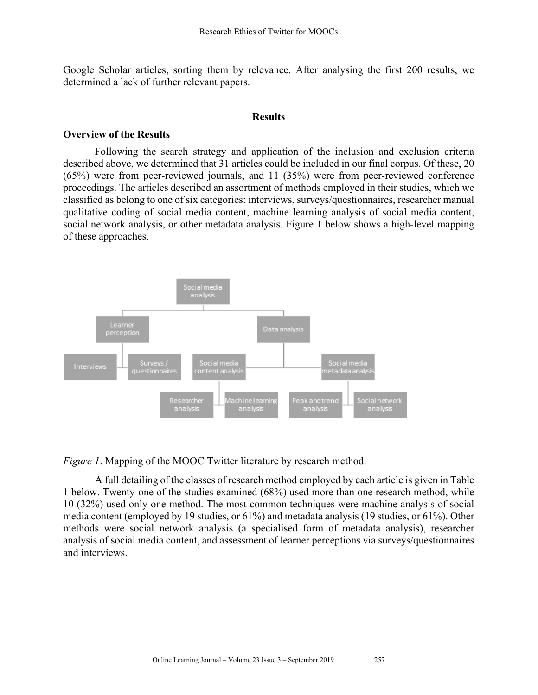Google Scholar articles, sorting them by relevance. After analysing the first 200 results, we determined a lack of further relevant papers.

#### **Results**

#### **Overview of the Results**

Following the search strategy and application of the inclusion and exclusion criteria described above, we determined that 31 articles could be included in our final corpus. Of these, 20 (65%) were from peer-reviewed journals, and 11 (35%) were from peer-reviewed conference proceedings. The articles described an assortment of methods employed in their studies, which we classified as belong to one of six categories: interviews, surveys/questionnaires, researcher manual qualitative coding of social media content, machine learning analysis of social media content, social network analysis, or other metadata analysis. Figure 1 below shows a high-level mapping of these approaches.



*Figure 1*. Mapping of the MOOC Twitter literature by research method.

A full detailing of the classes of research method employed by each article is given in Table 1 below. Twenty-one of the studies examined (68%) used more than one research method, while 10 (32%) used only one method. The most common techniques were machine analysis of social media content (employed by 19 studies, or 61%) and metadata analysis (19 studies, or 61%). Other methods were social network analysis (a specialised form of metadata analysis), researcher analysis of social media content, and assessment of learner perceptions via surveys/questionnaires and interviews.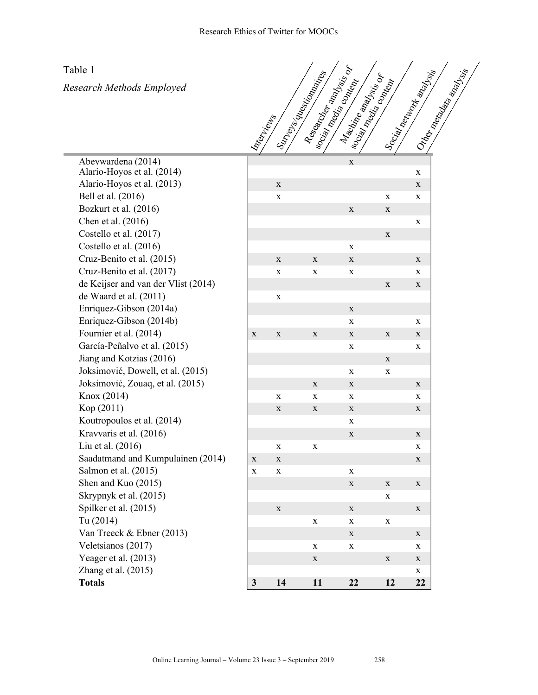Table 1

*Research Methods Employed*



| Abeywardena (2014)<br>Alario-Hoyos et al. (2014) |             |                    |             | $\mathbf X$        |              |
|--------------------------------------------------|-------------|--------------------|-------------|--------------------|--------------|
| Alario-Hoyos et al. (2013)                       |             | $\mathbf X$        |             |                    |              |
| Bell et al. (2016)                               |             | $\bar{\mathbf{X}}$ |             |                    | X            |
| Bozkurt et al. (2016)                            |             |                    |             | $\mathbf X$        | X            |
| Chen et al. (2016)                               |             |                    |             |                    |              |
| Costello et al. (2017)                           |             |                    |             |                    | X            |
| Costello et al. (2016)                           |             |                    |             | $\mathbf X$        |              |
| Cruz-Benito et al. (2015)                        |             | X                  | $\mathbf X$ | $\mathbf X$        |              |
| Cruz-Benito et al. (2017)                        |             | X                  | $\mathbf X$ | $\mathbf X$        |              |
| de Keijser and van der Vlist (2014)              |             |                    |             |                    | X            |
| de Waard et al. (2011)                           |             | X                  |             |                    |              |
| Enriquez-Gibson (2014a)                          |             |                    |             | $\mathbf X$        |              |
| Enriquez-Gibson (2014b)                          |             |                    |             | $\mathbf X$        |              |
| Fournier et al. (2014)                           | $\mathbf X$ | $\mathbf X$        | $\mathbf X$ | $\mathbf X$        | X            |
| García-Peñalvo et al. (2015)                     |             |                    |             | $\mathbf X$        |              |
| Jiang and Kotzias (2016)                         |             |                    |             |                    | $\bf{X}$     |
| Joksimović, Dowell, et al. (2015)                |             |                    |             | X                  | X            |
| Joksimović, Zouaq, et al. (2015)                 |             |                    | $\mathbf X$ | $\mathbf X$        |              |
| Knox (2014)                                      |             | X                  | $\mathbf X$ | $\mathbf X$        |              |
| Kop (2011)                                       |             | X                  | X           | $\mathbf X$        |              |
| Koutropoulos et al. (2014)                       |             |                    |             | $\mathbf X$        |              |
| Kravvaris et al. (2016)                          |             |                    |             | $\mathbf X$        |              |
| Liu et al. (2016)                                |             | X                  | $\mathbf X$ |                    |              |
| Saadatmand and Kumpulainen (2014)                | $\mathbf X$ | X                  |             |                    |              |
| Salmon et al. (2015)                             | X           | $\mathbf X$        |             | X                  |              |
| Shen and Kuo (2015)                              |             |                    |             | $\mathbf X$        | X            |
| Skrypnyk et al. (2015)                           |             |                    |             |                    | X            |
| Spilker et al. (2015)                            |             | X                  |             | $\mathbf X$        |              |
| Tu (2014)                                        |             |                    | $\mathbf X$ | $\bar{\mathbf{X}}$ | X            |
| Van Treeck & Ebner (2013)                        |             |                    |             | $\mathbf X$        |              |
| Veletsianos (2017)                               |             |                    | X           | $\mathbf X$        |              |
| Yeager et al. (2013)                             |             |                    | $\mathbf X$ |                    | X            |
| Zhang et al. $(2015)$                            |             |                    |             |                    |              |
| <b>Totals</b>                                    | 3           | 14                 | 11          | 22                 | $\mathbf{1}$ |

|                                                  | $\hat{\mathcal{S}}$ |             | $s^{\mathcal{O}}_c$ | Soc.        | $\mathcal{S}_{\mathcal{C}}$ | $\mathcal{S}_{\checkmark}$ |
|--------------------------------------------------|---------------------|-------------|---------------------|-------------|-----------------------------|----------------------------|
| Abeywardena (2014)<br>Alario-Hoyos et al. (2014) |                     |             |                     | $\mathbf X$ |                             | $\mathbf x$                |
| Alario-Hoyos et al. (2013)                       |                     | $\mathbf X$ |                     |             |                             | $\mathbf X$                |
| Bell et al. (2016)                               |                     | $\mathbf X$ |                     |             | $\mathbf X$                 | $\mathbf X$                |
| Bozkurt et al. (2016)                            |                     |             |                     | $\mathbf X$ | $\mathbf X$                 |                            |
| Chen et al. (2016)                               |                     |             |                     |             |                             | $\mathbf X$                |
| Costello et al. (2017)                           |                     |             |                     |             | $\mathbf{X}$                |                            |
| Costello et al. (2016)                           |                     |             |                     | X           |                             |                            |
| Cruz-Benito et al. (2015)                        |                     | $\mathbf X$ | $\mathbf X$         | $\mathbf X$ |                             | $\mathbf X$                |
| Cruz-Benito et al. (2017)                        |                     | $\mathbf X$ | $\mathbf X$         | $\mathbf X$ |                             | X                          |
| de Keijser and van der Vlist (2014)              |                     |             |                     |             | $\mathbf X$                 | $\mathbf X$                |
| de Waard et al. (2011)                           |                     | $\mathbf X$ |                     |             |                             |                            |
| Enriquez-Gibson (2014a)                          |                     |             |                     | $\mathbf X$ |                             |                            |
| Enriquez-Gibson (2014b)                          |                     |             |                     | $\mathbf X$ |                             | X                          |
| Fournier et al. (2014)                           | $\mathbf X$         | $\mathbf X$ | $\mathbf X$         | $\mathbf X$ | $\mathbf X$                 | $\mathbf X$                |
| García-Peñalvo et al. (2015)                     |                     |             |                     | $\mathbf X$ |                             | $\mathbf x$                |
| Jiang and Kotzias (2016)                         |                     |             |                     |             | $\mathbf X$                 |                            |
| Joksimović, Dowell, et al. (2015)                |                     |             |                     | $\mathbf X$ | $\mathbf x$                 |                            |
| Joksimović, Zouaq, et al. (2015)                 |                     |             | $\mathbf X$         | $\mathbf X$ |                             | $\mathbf X$                |
| Knox (2014)                                      |                     | $\mathbf X$ | $\mathbf X$         | $\mathbf X$ |                             | $\mathbf x$                |
| Kop (2011)                                       |                     | $\mathbf X$ | $\mathbf X$         | $\mathbf X$ |                             | $\mathbf X$                |
| Koutropoulos et al. (2014)                       |                     |             |                     | $\mathbf X$ |                             |                            |
| Kravvaris et al. (2016)                          |                     |             |                     | $\mathbf X$ |                             | $\mathbf X$                |
| Liu et al. (2016)                                |                     | X           | X                   |             |                             | $\mathbf X$                |
| Saadatmand and Kumpulainen (2014)                | $\mathbf X$         | $\mathbf X$ |                     |             |                             | $\mathbf X$                |
| Salmon et al. (2015)                             | $\mathbf X$         | X           |                     | $\mathbf X$ |                             |                            |
| Shen and Kuo (2015)                              |                     |             |                     | $\mathbf X$ | $\mathbf X$                 | $\mathbf X$                |
| Skrypnyk et al. (2015)                           |                     |             |                     |             | $\mathbf X$                 |                            |
| Spilker et al. (2015)                            |                     | $\mathbf X$ |                     | $\mathbf X$ |                             | $\mathbf X$                |
| Tu (2014)                                        |                     |             | $\mathbf X$         | $\mathbf X$ | $\mathbf X$                 |                            |
| Van Treeck & Ebner (2013)                        |                     |             |                     | $\mathbf X$ |                             | $\mathbf X$                |
| Veletsianos (2017)                               |                     |             | X                   | $\mathbf X$ |                             | X                          |
| Yeager et al. (2013)                             |                     |             | $\mathbf X$         |             | $\mathbf X$                 | $\mathbf X$                |
| Zhang et al. (2015)                              |                     |             |                     |             |                             | $\mathbf X$                |
| <b>Totals</b>                                    | $\mathbf{3}$        | 14          | 11                  | 22          | 12                          | 22                         |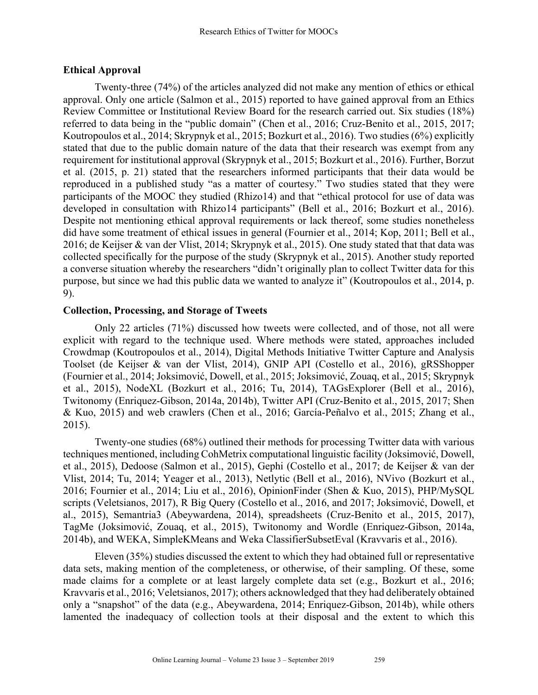## **Ethical Approval**

Twenty-three (74%) of the articles analyzed did not make any mention of ethics or ethical approval. Only one article (Salmon et al., 2015) reported to have gained approval from an Ethics Review Committee or Institutional Review Board for the research carried out. Six studies (18%) referred to data being in the "public domain" (Chen et al., 2016; Cruz-Benito et al., 2015, 2017; Koutropoulos et al., 2014; Skrypnyk et al., 2015; Bozkurt et al., 2016). Two studies (6%) explicitly stated that due to the public domain nature of the data that their research was exempt from any requirement for institutional approval (Skrypnyk et al., 2015; Bozkurt et al., 2016). Further, Borzut et al. (2015, p. 21) stated that the researchers informed participants that their data would be reproduced in a published study "as a matter of courtesy." Two studies stated that they were participants of the MOOC they studied (Rhizo14) and that "ethical protocol for use of data was developed in consultation with Rhizo14 participants" (Bell et al., 2016; Bozkurt et al., 2016). Despite not mentioning ethical approval requirements or lack thereof, some studies nonetheless did have some treatment of ethical issues in general (Fournier et al., 2014; Kop, 2011; Bell et al., 2016; de Keijser & van der Vlist, 2014; Skrypnyk et al., 2015). One study stated that that data was collected specifically for the purpose of the study (Skrypnyk et al., 2015). Another study reported a converse situation whereby the researchers "didn't originally plan to collect Twitter data for this purpose, but since we had this public data we wanted to analyze it" (Koutropoulos et al., 2014, p. 9).

### **Collection, Processing, and Storage of Tweets**

Only 22 articles (71%) discussed how tweets were collected, and of those, not all were explicit with regard to the technique used. Where methods were stated, approaches included Crowdmap (Koutropoulos et al., 2014), Digital Methods Initiative Twitter Capture and Analysis Toolset (de Keijser & van der Vlist, 2014), GNIP API (Costello et al., 2016), gRSShopper (Fournier et al., 2014; Joksimović, Dowell, et al., 2015; Joksimović, Zouaq, et al., 2015; Skrypnyk et al., 2015), NodeXL (Bozkurt et al., 2016; Tu, 2014), TAGsExplorer (Bell et al., 2016), Twitonomy (Enriquez-Gibson, 2014a, 2014b), Twitter API (Cruz-Benito et al., 2015, 2017; Shen & Kuo, 2015) and web crawlers (Chen et al., 2016; García-Peñalvo et al., 2015; Zhang et al., 2015).

Twenty-one studies (68%) outlined their methods for processing Twitter data with various techniques mentioned, including CohMetrix computational linguistic facility (Joksimović, Dowell, et al., 2015), Dedoose (Salmon et al., 2015), Gephi (Costello et al., 2017; de Keijser & van der Vlist, 2014; Tu, 2014; Yeager et al., 2013), Netlytic (Bell et al., 2016), NVivo (Bozkurt et al., 2016; Fournier et al., 2014; Liu et al., 2016), OpinionFinder (Shen & Kuo, 2015), PHP/MySQL scripts (Veletsianos, 2017), R Big Query (Costello et al., 2016, and 2017; Joksimović, Dowell, et al., 2015), Semantria3 (Abeywardena, 2014), spreadsheets (Cruz-Benito et al., 2015, 2017), TagMe (Joksimović, Zouaq, et al., 2015), Twitonomy and Wordle (Enriquez-Gibson, 2014a, 2014b), and WEKA, SimpleKMeans and Weka ClassifierSubsetEval (Kravvaris et al., 2016).

Eleven (35%) studies discussed the extent to which they had obtained full or representative data sets, making mention of the completeness, or otherwise, of their sampling. Of these, some made claims for a complete or at least largely complete data set (e.g., Bozkurt et al., 2016; Kravvaris et al., 2016; Veletsianos, 2017); others acknowledged that they had deliberately obtained only a "snapshot" of the data (e.g., Abeywardena, 2014; Enriquez-Gibson, 2014b), while others lamented the inadequacy of collection tools at their disposal and the extent to which this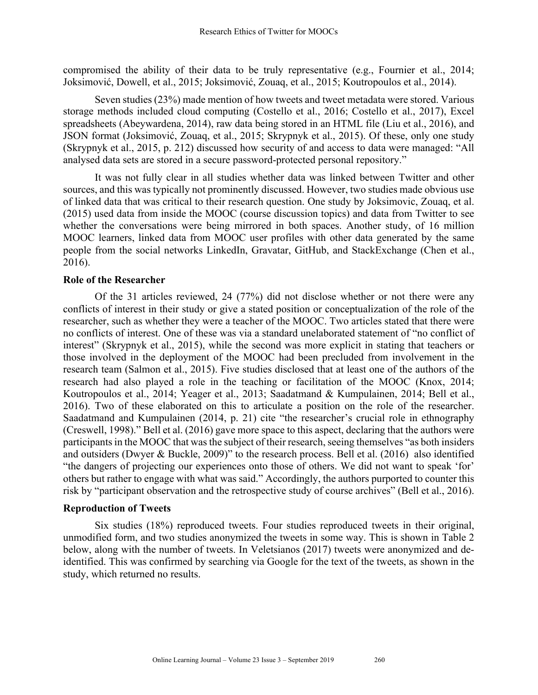compromised the ability of their data to be truly representative (e.g., Fournier et al., 2014; Joksimović, Dowell, et al., 2015; Joksimović, Zouaq, et al., 2015; Koutropoulos et al., 2014).

Seven studies (23%) made mention of how tweets and tweet metadata were stored. Various storage methods included cloud computing (Costello et al., 2016; Costello et al., 2017), Excel spreadsheets (Abeywardena, 2014), raw data being stored in an HTML file (Liu et al., 2016), and JSON format (Joksimović, Zouaq, et al., 2015; Skrypnyk et al., 2015). Of these, only one study (Skrypnyk et al., 2015, p. 212) discussed how security of and access to data were managed: "All analysed data sets are stored in a secure password-protected personal repository."

It was not fully clear in all studies whether data was linked between Twitter and other sources, and this was typically not prominently discussed. However, two studies made obvious use of linked data that was critical to their research question. One study by Joksimovic, Zouaq, et al. (2015) used data from inside the MOOC (course discussion topics) and data from Twitter to see whether the conversations were being mirrored in both spaces. Another study, of 16 million MOOC learners, linked data from MOOC user profiles with other data generated by the same people from the social networks LinkedIn, Gravatar, GitHub, and StackExchange (Chen et al., 2016).

## **Role of the Researcher**

Of the 31 articles reviewed, 24 (77%) did not disclose whether or not there were any conflicts of interest in their study or give a stated position or conceptualization of the role of the researcher, such as whether they were a teacher of the MOOC. Two articles stated that there were no conflicts of interest. One of these was via a standard unelaborated statement of "no conflict of interest" (Skrypnyk et al., 2015), while the second was more explicit in stating that teachers or those involved in the deployment of the MOOC had been precluded from involvement in the research team (Salmon et al., 2015). Five studies disclosed that at least one of the authors of the research had also played a role in the teaching or facilitation of the MOOC (Knox, 2014; Koutropoulos et al., 2014; Yeager et al., 2013; Saadatmand & Kumpulainen, 2014; Bell et al., 2016). Two of these elaborated on this to articulate a position on the role of the researcher. Saadatmand and Kumpulainen (2014, p. 21) cite "the researcher's crucial role in ethnography (Creswell, 1998)." Bell et al. (2016) gave more space to this aspect, declaring that the authors were participants in the MOOC that was the subject of their research, seeing themselves "as both insiders" and outsiders (Dwyer & Buckle, 2009)" to the research process. Bell et al. (2016) also identified "the dangers of projecting our experiences onto those of others. We did not want to speak 'for' others but rather to engage with what was said." Accordingly, the authors purported to counter this risk by "participant observation and the retrospective study of course archives" (Bell et al., 2016).

## **Reproduction of Tweets**

Six studies (18%) reproduced tweets. Four studies reproduced tweets in their original, unmodified form, and two studies anonymized the tweets in some way. This is shown in Table 2 below, along with the number of tweets. In Veletsianos (2017) tweets were anonymized and deidentified. This was confirmed by searching via Google for the text of the tweets, as shown in the study, which returned no results.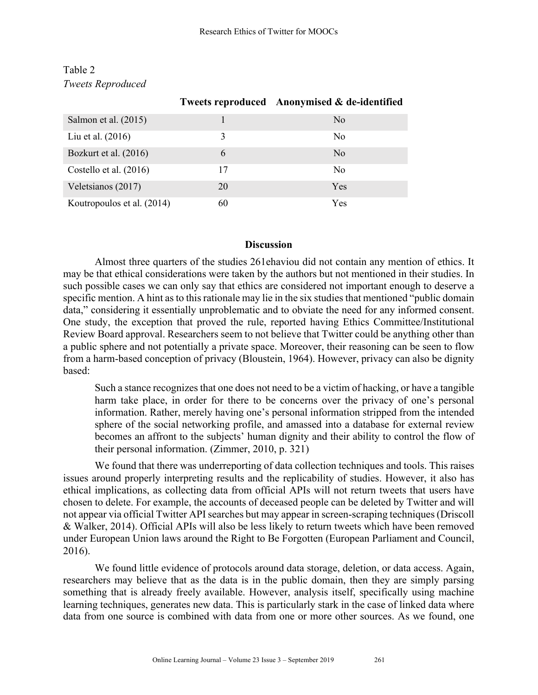|                            |    | Tweets reproduced Anonymised & de-identified |
|----------------------------|----|----------------------------------------------|
| Salmon et al. (2015)       |    | N <sub>0</sub>                               |
| Liu et al. $(2016)$        | 3  | N <sub>0</sub>                               |
| Bozkurt et al. (2016)      | 6  | No                                           |
| Costello et al. (2016)     | 17 | N <sub>0</sub>                               |
| Veletsianos (2017)         | 20 | <b>Yes</b>                                   |
| Koutropoulos et al. (2014) | 60 | Yes                                          |

## Table 2 *Tweets Reproduced*

#### **Discussion**

Almost three quarters of the studies 261ehaviou did not contain any mention of ethics. It may be that ethical considerations were taken by the authors but not mentioned in their studies. In such possible cases we can only say that ethics are considered not important enough to deserve a specific mention. A hint as to this rationale may lie in the six studies that mentioned "public domain data," considering it essentially unproblematic and to obviate the need for any informed consent. One study, the exception that proved the rule, reported having Ethics Committee/Institutional Review Board approval. Researchers seem to not believe that Twitter could be anything other than a public sphere and not potentially a private space. Moreover, their reasoning can be seen to flow from a harm-based conception of privacy (Bloustein, 1964). However, privacy can also be dignity based:

Such a stance recognizes that one does not need to be a victim of hacking, or have a tangible harm take place, in order for there to be concerns over the privacy of one's personal information. Rather, merely having one's personal information stripped from the intended sphere of the social networking profile, and amassed into a database for external review becomes an affront to the subjects' human dignity and their ability to control the flow of their personal information. (Zimmer, 2010, p. 321)

We found that there was underreporting of data collection techniques and tools. This raises issues around properly interpreting results and the replicability of studies. However, it also has ethical implications, as collecting data from official APIs will not return tweets that users have chosen to delete. For example, the accounts of deceased people can be deleted by Twitter and will not appear via official Twitter API searches but may appear in screen-scraping techniques (Driscoll & Walker, 2014). Official APIs will also be less likely to return tweets which have been removed under European Union laws around the Right to Be Forgotten (European Parliament and Council, 2016).

We found little evidence of protocols around data storage, deletion, or data access. Again, researchers may believe that as the data is in the public domain, then they are simply parsing something that is already freely available. However, analysis itself, specifically using machine learning techniques, generates new data. This is particularly stark in the case of linked data where data from one source is combined with data from one or more other sources. As we found, one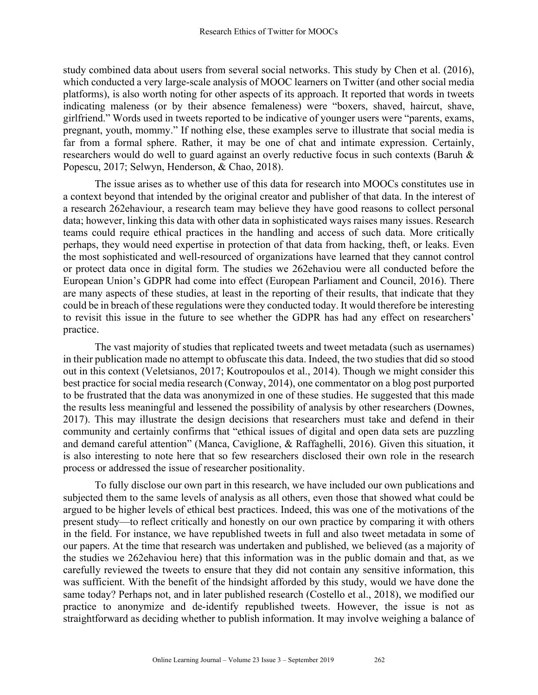study combined data about users from several social networks. This study by Chen et al. (2016), which conducted a very large-scale analysis of MOOC learners on Twitter (and other social media platforms), is also worth noting for other aspects of its approach. It reported that words in tweets indicating maleness (or by their absence femaleness) were "boxers, shaved, haircut, shave, girlfriend." Words used in tweets reported to be indicative of younger users were "parents, exams, pregnant, youth, mommy." If nothing else, these examples serve to illustrate that social media is far from a formal sphere. Rather, it may be one of chat and intimate expression. Certainly, researchers would do well to guard against an overly reductive focus in such contexts (Baruh & Popescu, 2017; Selwyn, Henderson, & Chao, 2018).

The issue arises as to whether use of this data for research into MOOCs constitutes use in a context beyond that intended by the original creator and publisher of that data. In the interest of a research 262ehaviour, a research team may believe they have good reasons to collect personal data; however, linking this data with other data in sophisticated ways raises many issues. Research teams could require ethical practices in the handling and access of such data. More critically perhaps, they would need expertise in protection of that data from hacking, theft, or leaks. Even the most sophisticated and well-resourced of organizations have learned that they cannot control or protect data once in digital form. The studies we 262ehaviou were all conducted before the European Union's GDPR had come into effect (European Parliament and Council, 2016). There are many aspects of these studies, at least in the reporting of their results, that indicate that they could be in breach of these regulations were they conducted today. It would therefore be interesting to revisit this issue in the future to see whether the GDPR has had any effect on researchers' practice.

The vast majority of studies that replicated tweets and tweet metadata (such as usernames) in their publication made no attempt to obfuscate this data. Indeed, the two studies that did so stood out in this context (Veletsianos, 2017; Koutropoulos et al., 2014). Though we might consider this best practice for social media research (Conway, 2014), one commentator on a blog post purported to be frustrated that the data was anonymized in one of these studies. He suggested that this made the results less meaningful and lessened the possibility of analysis by other researchers (Downes, 2017). This may illustrate the design decisions that researchers must take and defend in their community and certainly confirms that "ethical issues of digital and open data sets are puzzling and demand careful attention" (Manca, Caviglione, & Raffaghelli, 2016). Given this situation, it is also interesting to note here that so few researchers disclosed their own role in the research process or addressed the issue of researcher positionality.

To fully disclose our own part in this research, we have included our own publications and subjected them to the same levels of analysis as all others, even those that showed what could be argued to be higher levels of ethical best practices. Indeed, this was one of the motivations of the present study—to reflect critically and honestly on our own practice by comparing it with others in the field. For instance, we have republished tweets in full and also tweet metadata in some of our papers. At the time that research was undertaken and published, we believed (as a majority of the studies we 262ehaviou here) that this information was in the public domain and that, as we carefully reviewed the tweets to ensure that they did not contain any sensitive information, this was sufficient. With the benefit of the hindsight afforded by this study, would we have done the same today? Perhaps not, and in later published research (Costello et al., 2018), we modified our practice to anonymize and de-identify republished tweets. However, the issue is not as straightforward as deciding whether to publish information. It may involve weighing a balance of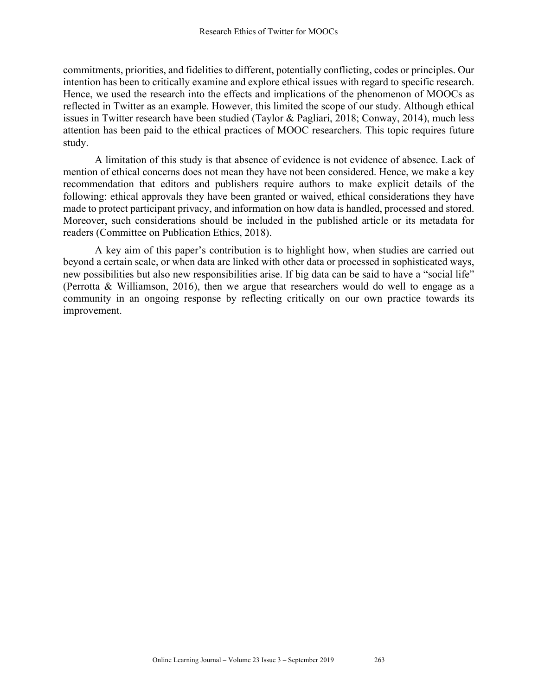commitments, priorities, and fidelities to different, potentially conflicting, codes or principles. Our intention has been to critically examine and explore ethical issues with regard to specific research. Hence, we used the research into the effects and implications of the phenomenon of MOOCs as reflected in Twitter as an example. However, this limited the scope of our study. Although ethical issues in Twitter research have been studied (Taylor & Pagliari, 2018; Conway, 2014), much less attention has been paid to the ethical practices of MOOC researchers. This topic requires future study.

A limitation of this study is that absence of evidence is not evidence of absence. Lack of mention of ethical concerns does not mean they have not been considered. Hence, we make a key recommendation that editors and publishers require authors to make explicit details of the following: ethical approvals they have been granted or waived, ethical considerations they have made to protect participant privacy, and information on how data is handled, processed and stored. Moreover, such considerations should be included in the published article or its metadata for readers (Committee on Publication Ethics, 2018).

A key aim of this paper's contribution is to highlight how, when studies are carried out beyond a certain scale, or when data are linked with other data or processed in sophisticated ways, new possibilities but also new responsibilities arise. If big data can be said to have a "social life" (Perrotta & Williamson, 2016), then we argue that researchers would do well to engage as a community in an ongoing response by reflecting critically on our own practice towards its improvement.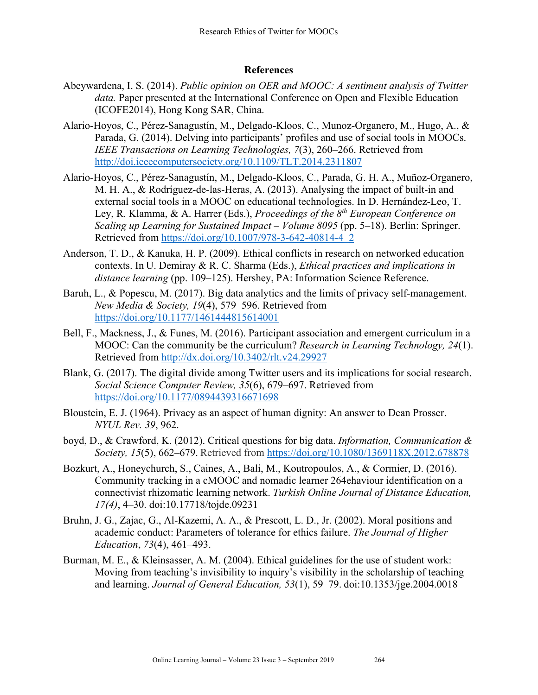## **References**

- Abeywardena, I. S. (2014). *Public opinion on OER and MOOC: A sentiment analysis of Twitter data.* Paper presented at the International Conference on Open and Flexible Education (ICOFE2014), Hong Kong SAR, China.
- Alario-Hoyos, C., Pérez-Sanagustín, M., Delgado-Kloos, C., Munoz-Organero, M., Hugo, A., & Parada, G. (2014). Delving into participants' profiles and use of social tools in MOOCs. *IEEE Transactions on Learning Technologies, 7*(3), 260–266. Retrieved from http://doi.ieeecomputersociety.org/10.1109/TLT.2014.2311807
- Alario-Hoyos, C., Pérez-Sanagustín, M., Delgado-Kloos, C., Parada, G. H. A., Muñoz-Organero, M. H. A., & Rodríguez-de-las-Heras, A. (2013). Analysing the impact of built-in and external social tools in a MOOC on educational technologies. In D. Hernández-Leo, T. Ley, R. Klamma, & A. Harrer (Eds.), *Proceedings of the 8th European Conference on Scaling up Learning for Sustained Impact – Volume 8095* (pp. 5–18). Berlin: Springer. Retrieved from https://doi.org/10.1007/978-3-642-40814-4\_2
- Anderson, T. D., & Kanuka, H. P. (2009). Ethical conflicts in research on networked education contexts. In U. Demiray & R. C. Sharma (Eds.), *Ethical practices and implications in distance learning* (pp. 109–125). Hershey, PA: Information Science Reference.
- Baruh, L., & Popescu, M. (2017). Big data analytics and the limits of privacy self-management. *New Media & Society, 19*(4), 579–596. Retrieved from https://doi.org/10.1177/1461444815614001
- Bell, F., Mackness, J., & Funes, M. (2016). Participant association and emergent curriculum in a MOOC: Can the community be the curriculum? *Research in Learning Technology, 24*(1). Retrieved from http://dx.doi.org/10.3402/rlt.v24.29927
- Blank, G. (2017). The digital divide among Twitter users and its implications for social research. *Social Science Computer Review, 35*(6), 679–697. Retrieved from https://doi.org/10.1177/0894439316671698
- Bloustein, E. J. (1964). Privacy as an aspect of human dignity: An answer to Dean Prosser. *NYUL Rev. 39*, 962.
- boyd, D., & Crawford, K. (2012). Critical questions for big data. *Information, Communication & Society, 15*(5), 662–679. Retrieved from https://doi.org/10.1080/1369118X.2012.678878
- Bozkurt, A., Honeychurch, S., Caines, A., Bali, M., Koutropoulos, A., & Cormier, D. (2016). Community tracking in a cMOOC and nomadic learner 264ehaviour identification on a connectivist rhizomatic learning network. *Turkish Online Journal of Distance Education, 17(4)*, 4–30. doi:10.17718/tojde.09231
- Bruhn, J. G., Zajac, G., Al-Kazemi, A. A., & Prescott, L. D., Jr. (2002). Moral positions and academic conduct: Parameters of tolerance for ethics failure. *The Journal of Higher Education*, *73*(4), 461–493.
- Burman, M. E., & Kleinsasser, A. M. (2004). Ethical guidelines for the use of student work: Moving from teaching's invisibility to inquiry's visibility in the scholarship of teaching and learning. *Journal of General Education, 53*(1), 59–79. doi:10.1353/jge.2004.0018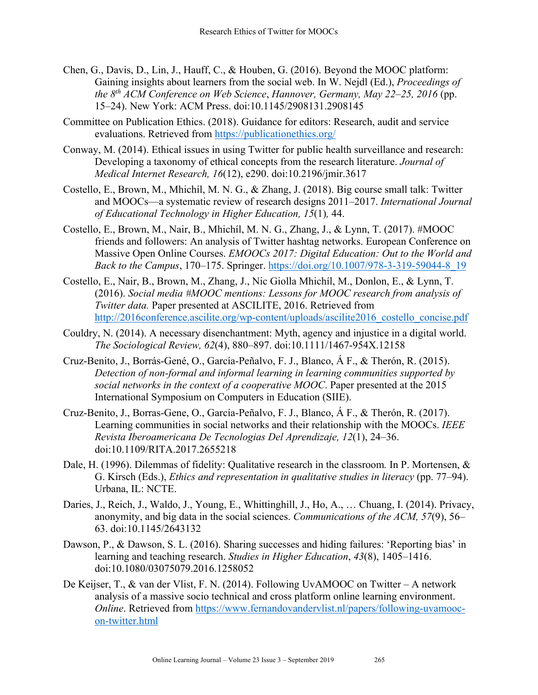- Chen, G., Davis, D., Lin, J., Hauff, C., & Houben, G. (2016). Beyond the MOOC platform: Gaining insights about learners from the social web. In W. Nejdl (Ed.), *Proceedings of the 8th ACM Conference on Web Science*, *Hannover, Germany, May 22–25, 2016* (pp. 15–24). New York: ACM Press. doi:10.1145/2908131.2908145
- Committee on Publication Ethics. (2018). Guidance for editors: Research, audit and service evaluations. Retrieved from https://publicationethics.org/
- Conway, M. (2014). Ethical issues in using Twitter for public health surveillance and research: Developing a taxonomy of ethical concepts from the research literature. *Journal of Medical Internet Research, 16*(12), e290. doi:10.2196/jmir.3617
- Costello, E., Brown, M., Mhichíl, M. N. G., & Zhang, J. (2018). Big course small talk: Twitter and MOOCs—a systematic review of research designs 2011–2017. *International Journal of Educational Technology in Higher Education, 15*(1)*,* 44.
- Costello, E., Brown, M., Nair, B., Mhichíl, M. N. G., Zhang, J., & Lynn, T. (2017). #MOOC friends and followers: An analysis of Twitter hashtag networks. European Conference on Massive Open Online Courses. *EMOOCs 2017: Digital Education: Out to the World and Back to the Campus*, 170–175. Springer. https://doi.org/10.1007/978-3-319-59044-8\_19
- Costello, E., Nair, B., Brown, M., Zhang, J., Nic Giolla Mhichíl, M., Donlon, E., & Lynn, T. (2016). *Social media #MOOC mentions: Lessons for MOOC research from analysis of Twitter data.* Paper presented at ASCILITE, 2016. Retrieved from http://2016conference.ascilite.org/wp-content/uploads/ascilite2016\_costello\_concise.pdf
- Couldry, N. (2014). A necessary disenchantment: Myth, agency and injustice in a digital world. *The Sociological Review, 62*(4), 880–897. doi:10.1111/1467-954X.12158
- Cruz-Benito, J., Borrás-Gené, O., García-Peñalvo, F. J., Blanco, Á F., & Therón, R. (2015). *Detection of non-formal and informal learning in learning communities supported by social networks in the context of a cooperative MOOC*. Paper presented at the 2015 International Symposium on Computers in Education (SIIE).
- Cruz-Benito, J., Borras-Gene, O., García-Peñalvo, F. J., Blanco, Á F., & Therón, R. (2017). Learning communities in social networks and their relationship with the MOOCs. *IEEE Revista Iberoamericana De Tecnologias Del Aprendizaje, 12*(1), 24–36. doi:10.1109/RITA.2017.2655218
- Dale, H. (1996). Dilemmas of fidelity: Qualitative research in the classroom*.* In P. Mortensen, & G. Kirsch (Eds.), *Ethics and representation in qualitative studies in literacy* (pp. 77–94). Urbana, IL: NCTE.
- Daries, J., Reich, J., Waldo, J., Young, E., Whittinghill, J., Ho, A., … Chuang, I. (2014). Privacy, anonymity, and big data in the social sciences. *Communications of the ACM, 57*(9), 56– 63. doi:10.1145/2643132
- Dawson, P., & Dawson, S. L. (2016). Sharing successes and hiding failures: 'Reporting bias' in learning and teaching research. *Studies in Higher Education*, *43*(8), 1405–1416. doi:10.1080/03075079.2016.1258052
- De Keijser, T., & van der Vlist, F. N. (2014). Following UvAMOOC on Twitter A network analysis of a massive socio technical and cross platform online learning environment. *Online*. Retrieved from https://www.fernandovandervlist.nl/papers/following-uvamoocon-twitter.html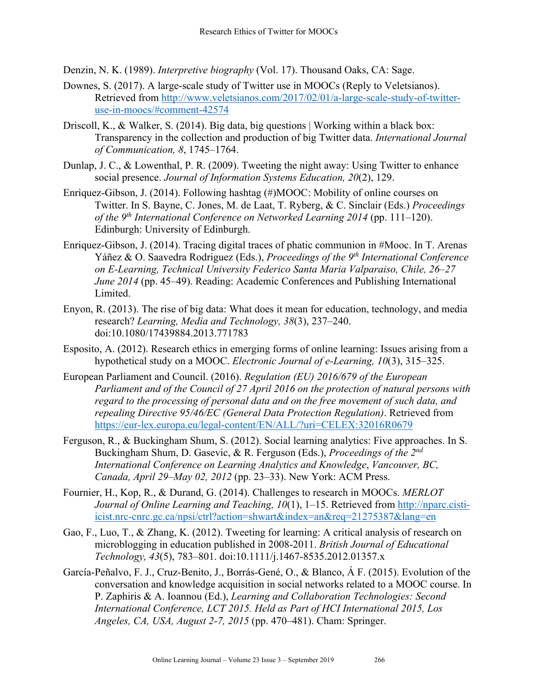Denzin, N. K. (1989). *Interpretive biography* (Vol. 17). Thousand Oaks, CA: Sage.

- Downes, S. (2017). A large-scale study of Twitter use in MOOCs (Reply to Veletsianos). Retrieved from http://www.veletsianos.com/2017/02/01/a-large-scale-study-of-twitteruse-in-moocs/#comment-42574
- Driscoll, K., & Walker, S. (2014). Big data, big questions | Working within a black box: Transparency in the collection and production of big Twitter data. *International Journal of Communication, 8*, 1745–1764.
- Dunlap, J. C., & Lowenthal, P. R. (2009). Tweeting the night away: Using Twitter to enhance social presence. *Journal of Information Systems Education, 20*(2), 129.
- Enriquez-Gibson, J. (2014). Following hashtag (#)MOOC: Mobility of online courses on Twitter. In S. Bayne, C. Jones, M. de Laat, T. Ryberg, & C. Sinclair (Eds.) *Proceedings of the 9th International Conference on Networked Learning 2014* (pp. 111–120). Edinburgh: University of Edinburgh.
- Enriquez-Gibson, J. (2014). Tracing digital traces of phatic communion in #Mooc. In T. Arenas Yáñez & O. Saavedra Rodriguez (Eds.), *Proceedings of the 9th International Conference on E-Learning, Technical University Federico Santa Maria Valparaiso, Chile, 26–27 June 2014* (pp. 45–49). Reading: Academic Conferences and Publishing International Limited.
- Enyon, R. (2013). The rise of big data: What does it mean for education, technology, and media research? *Learning, Media and Technology, 38*(3), 237–240. doi:10.1080/17439884.2013.771783
- Esposito, A. (2012). Research ethics in emerging forms of online learning: Issues arising from a hypothetical study on a MOOC. *Electronic Journal of e-Learning, 10*(3), 315–325.
- European Parliament and Council. (2016). *Regulation (EU) 2016/679 of the European Parliament and of the Council of 27 April 2016 on the protection of natural persons with regard to the processing of personal data and on the free movement of such data, and repealing Directive 95/46/EC (General Data Protection Regulation)*. Retrieved from https://eur-lex.europa.eu/legal-content/EN/ALL/?uri=CELEX:32016R0679
- Ferguson, R., & Buckingham Shum, S. (2012). Social learning analytics: Five approaches. In S. Buckingham Shum, D. Gasevic, & R. Ferguson (Eds.), *Proceedings of the 2nd International Conference on Learning Analytics and Knowledge*, *Vancouver, BC, Canada, April 29–May 02, 2012* (pp. 23–33). New York: ACM Press.
- Fournier, H., Kop, R., & Durand, G. (2014). Challenges to research in MOOCs. *MERLOT Journal of Online Learning and Teaching, 10*(1), 1–15. Retrieved from http://nparc.cistiicist.nrc-cnrc.gc.ca/npsi/ctrl?action=shwart&index=an&req=21275387&lang=en
- Gao, F., Luo, T., & Zhang, K. (2012). Tweeting for learning: A critical analysis of research on microblogging in education published in 2008-2011. *British Journal of Educational Technology, 43*(5), 783–801. doi:10.1111/j.1467-8535.2012.01357.x
- García-Peñalvo, F. J., Cruz-Benito, J., Borrás-Gené, O., & Blanco, Á F. (2015). Evolution of the conversation and knowledge acquisition in social networks related to a MOOC course. In P. Zaphiris & A. Ioannou (Ed.), *Learning and Collaboration Technologies: Second International Conference, LCT 2015. Held as Part of HCI International 2015, Los Angeles, CA, USA, August 2-7, 2015* (pp. 470–481). Cham: Springer.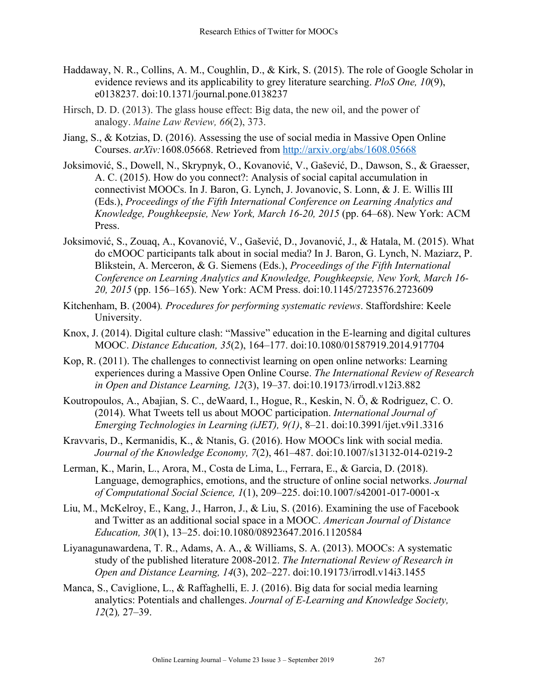- Haddaway, N. R., Collins, A. M., Coughlin, D., & Kirk, S. (2015). The role of Google Scholar in evidence reviews and its applicability to grey literature searching. *PloS One, 10*(9), e0138237. doi:10.1371/journal.pone.0138237
- Hirsch, D. D. (2013). The glass house effect: Big data, the new oil, and the power of analogy. *Maine Law Review, 66*(2), 373.
- Jiang, S., & Kotzias, D. (2016). Assessing the use of social media in Massive Open Online Courses. *arXiv:*1608.05668. Retrieved from http://arxiv.org/abs/1608.05668
- Joksimović, S., Dowell, N., Skrypnyk, O., Kovanović, V., Gašević, D., Dawson, S., & Graesser, A. C. (2015). How do you connect?: Analysis of social capital accumulation in connectivist MOOCs. In J. Baron, G. Lynch, J. Jovanovic, S. Lonn, & J. E. Willis III (Eds.), *Proceedings of the Fifth International Conference on Learning Analytics and Knowledge, Poughkeepsie, New York, March 16-20, 2015* (pp. 64–68). New York: ACM Press.
- Joksimović, S., Zouaq, A., Kovanović, V., Gašević, D., Jovanović, J., & Hatala, M. (2015). What do cMOOC participants talk about in social media? In J. Baron, G. Lynch, N. Maziarz, P. Blikstein, A. Merceron, & G. Siemens (Eds.), *Proceedings of the Fifth International Conference on Learning Analytics and Knowledge, Poughkeepsie, New York, March 16- 20, 2015* (pp. 156–165). New York: ACM Press. doi:10.1145/2723576.2723609
- Kitchenham, B. (2004)*. Procedures for performing systematic reviews*. Staffordshire: Keele University.
- Knox, J. (2014). Digital culture clash: "Massive" education in the E-learning and digital cultures MOOC. *Distance Education, 35*(2), 164–177. doi:10.1080/01587919.2014.917704
- Kop, R. (2011). The challenges to connectivist learning on open online networks: Learning experiences during a Massive Open Online Course. *The International Review of Research in Open and Distance Learning, 12*(3), 19–37. doi:10.19173/irrodl.v12i3.882
- Koutropoulos, A., Abajian, S. C., deWaard, I., Hogue, R., Keskin, N. Ö, & Rodriguez, C. O. (2014). What Tweets tell us about MOOC participation. *International Journal of Emerging Technologies in Learning (iJET), 9(1)*, 8–21. doi:10.3991/ijet.v9i1.3316
- Kravvaris, D., Kermanidis, K., & Ntanis, G. (2016). How MOOCs link with social media. *Journal of the Knowledge Economy, 7*(2), 461–487. doi:10.1007/s13132-014-0219-2
- Lerman, K., Marin, L., Arora, M., Costa de Lima, L., Ferrara, E., & Garcia, D. (2018). Language, demographics, emotions, and the structure of online social networks. *Journal of Computational Social Science, 1*(1), 209–225. doi:10.1007/s42001-017-0001-x
- Liu, M., McKelroy, E., Kang, J., Harron, J., & Liu, S. (2016). Examining the use of Facebook and Twitter as an additional social space in a MOOC. *American Journal of Distance Education, 30*(1), 13–25. doi:10.1080/08923647.2016.1120584
- Liyanagunawardena, T. R., Adams, A. A., & Williams, S. A. (2013). MOOCs: A systematic study of the published literature 2008-2012. *The International Review of Research in Open and Distance Learning, 14*(3), 202–227. doi:10.19173/irrodl.v14i3.1455
- Manca, S., Caviglione, L., & Raffaghelli, E. J. (2016). Big data for social media learning analytics: Potentials and challenges. *Journal of E-Learning and Knowledge Society, 12*(2)*,* 27–39.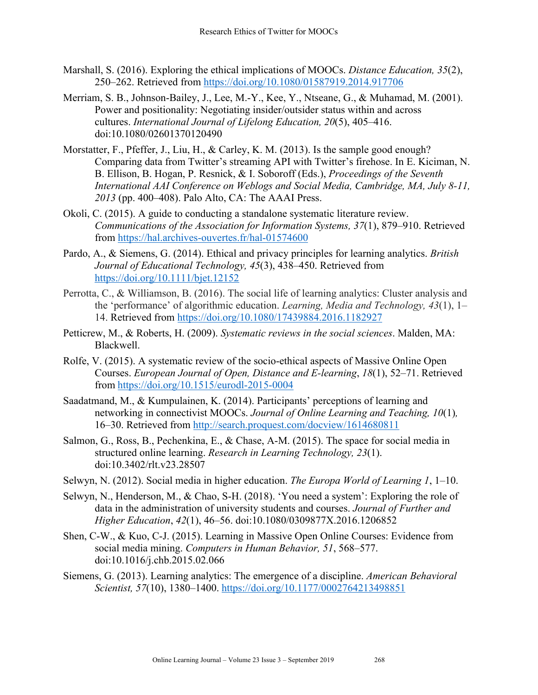- Marshall, S. (2016). Exploring the ethical implications of MOOCs. *Distance Education, 35*(2), 250–262. Retrieved from https://doi.org/10.1080/01587919.2014.917706
- Merriam, S. B., Johnson-Bailey, J., Lee, M.-Y., Kee, Y., Ntseane, G., & Muhamad, M. (2001). Power and positionality: Negotiating insider/outsider status within and across cultures. *International Journal of Lifelong Education, 20*(5), 405–416. doi:10.1080/02601370120490
- Morstatter, F., Pfeffer, J., Liu, H., & Carley, K. M. (2013). Is the sample good enough? Comparing data from Twitter's streaming API with Twitter's firehose. In E. Kiciman, N. B. Ellison, B. Hogan, P. Resnick, & I. Soboroff (Eds.), *Proceedings of the Seventh International AAI Conference on Weblogs and Social Media, Cambridge, MA, July 8-11, 2013* (pp. 400–408). Palo Alto, CA: The AAAI Press.
- Okoli, C. (2015). A guide to conducting a standalone systematic literature review. *Communications of the Association for Information Systems, 37*(1), 879–910. Retrieved from https://hal.archives-ouvertes.fr/hal-01574600
- Pardo, A., & Siemens, G. (2014). Ethical and privacy principles for learning analytics. *British Journal of Educational Technology, 45*(3), 438–450. Retrieved from https://doi.org/10.1111/bjet.12152
- Perrotta, C., & Williamson, B. (2016). The social life of learning analytics: Cluster analysis and the 'performance' of algorithmic education. *Learning, Media and Technology, 43*(1), 1– 14. Retrieved from https://doi.org/10.1080/17439884.2016.1182927
- Petticrew, M., & Roberts, H. (2009). *Systematic reviews in the social sciences*. Malden, MA: Blackwell.
- Rolfe, V. (2015). A systematic review of the socio-ethical aspects of Massive Online Open Courses. *European Journal of Open, Distance and E-learning*, *18*(1), 52–71. Retrieved from https://doi.org/10.1515/eurodl-2015-0004
- Saadatmand, M., & Kumpulainen, K. (2014). Participants' perceptions of learning and networking in connectivist MOOCs. *Journal of Online Learning and Teaching, 10*(1)*,* 16–30. Retrieved from http://search.proquest.com/docview/1614680811
- Salmon, G., Ross, B., Pechenkina, E., & Chase, A-M. (2015). The space for social media in structured online learning. *Research in Learning Technology, 23*(1). doi:10.3402/rlt.v23.28507
- Selwyn, N. (2012). Social media in higher education. *The Europa World of Learning 1*, 1–10.
- Selwyn, N., Henderson, M., & Chao, S-H. (2018). 'You need a system': Exploring the role of data in the administration of university students and courses. *Journal of Further and Higher Education*, *42*(1), 46–56. doi:10.1080/0309877X.2016.1206852
- Shen, C-W., & Kuo, C-J. (2015). Learning in Massive Open Online Courses: Evidence from social media mining. *Computers in Human Behavior, 51*, 568–577. doi:10.1016/j.chb.2015.02.066
- Siemens, G. (2013). Learning analytics: The emergence of a discipline. *American Behavioral Scientist, 57*(10), 1380–1400. https://doi.org/10.1177/0002764213498851